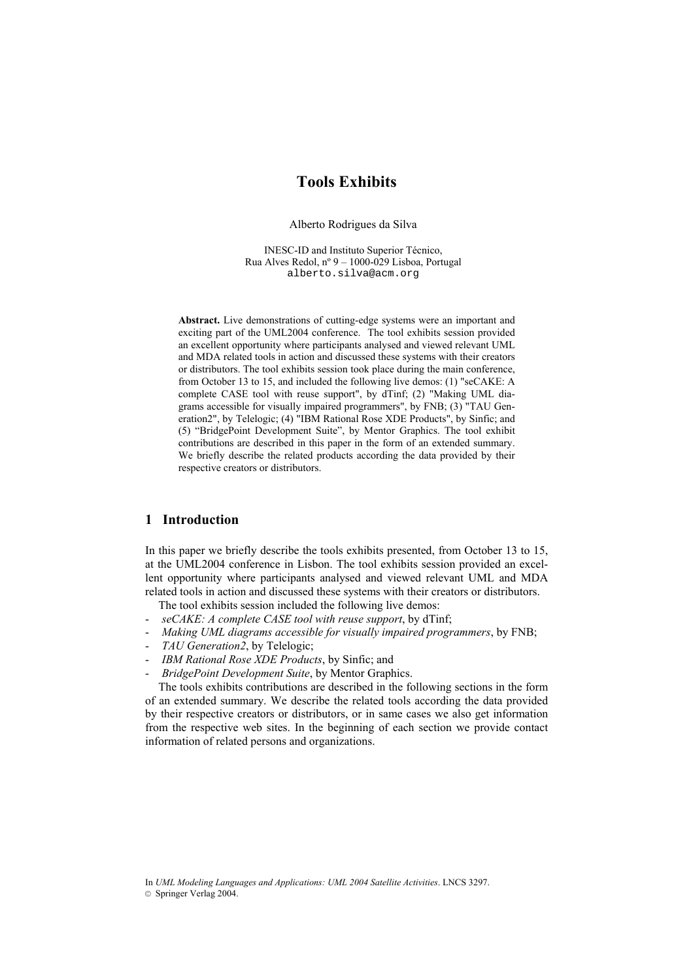# **Tools Exhibits**

Alberto Rodrigues da Silva

INESC-ID and Instituto Superior Técnico, Rua Alves Redol, nº 9 – 1000-029 Lisboa, Portugal alberto.silva@acm.org

**Abstract.** Live demonstrations of cutting-edge systems were an important and exciting part of the UML2004 conference. The tool exhibits session provided an excellent opportunity where participants analysed and viewed relevant UML and MDA related tools in action and discussed these systems with their creators or distributors. The tool exhibits session took place during the main conference, from October 13 to 15, and included the following live demos: (1) "seCAKE: A complete CASE tool with reuse support", by dTinf; (2) "Making UML diagrams accessible for visually impaired programmers", by FNB; (3) "TAU Generation2", by Telelogic; (4) "IBM Rational Rose XDE Products", by Sinfic; and (5) "BridgePoint Development Suite", by Mentor Graphics. The tool exhibit contributions are described in this paper in the form of an extended summary. We briefly describe the related products according the data provided by their respective creators or distributors.

# **1 Introduction**

In this paper we briefly describe the tools exhibits presented, from October 13 to 15, at the UML2004 conference in Lisbon. The tool exhibits session provided an excellent opportunity where participants analysed and viewed relevant UML and MDA related tools in action and discussed these systems with their creators or distributors.

The tool exhibits session included the following live demos:

- *seCAKE: A complete CASE tool with reuse support*, by dTinf;
- *Making UML diagrams accessible for visually impaired programmers*, by FNB;
- TAU Generation2, by Telelogic;
- *IBM Rational Rose XDE Products*, by Sinfic; and
- *BridgePoint Development Suite*, by Mentor Graphics.

The tools exhibits contributions are described in the following sections in the form of an extended summary. We describe the related tools according the data provided by their respective creators or distributors, or in same cases we also get information from the respective web sites. In the beginning of each section we provide contact information of related persons and organizations.

In *UML Modeling Languages and Applications: UML 2004 Satellite Activities*. LNCS 3297.

© Springer Verlag 2004.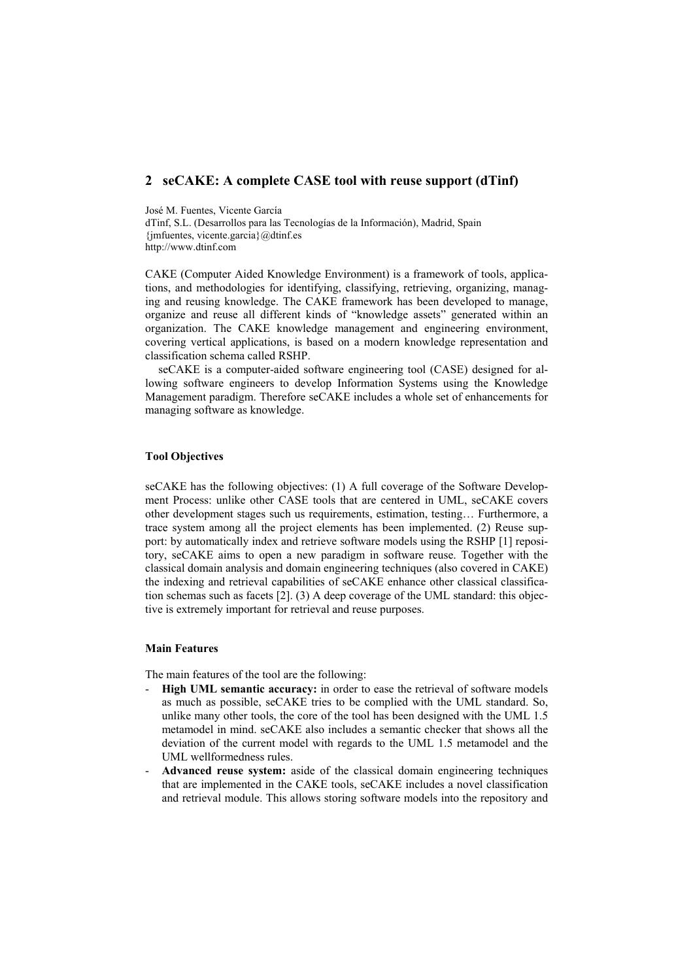## **2 seCAKE: A complete CASE tool with reuse support (dTinf)**

José M. Fuentes, Vicente García dTinf, S.L. (Desarrollos para las Tecnologías de la Información), Madrid, Spain {jmfuentes, vicente.garcia}@dtinf.es http://www.dtinf.com

CAKE (Computer Aided Knowledge Environment) is a framework of tools, applications, and methodologies for identifying, classifying, retrieving, organizing, managing and reusing knowledge. The CAKE framework has been developed to manage, organize and reuse all different kinds of "knowledge assets" generated within an organization. The CAKE knowledge management and engineering environment, covering vertical applications, is based on a modern knowledge representation and classification schema called RSHP.

seCAKE is a computer-aided software engineering tool (CASE) designed for allowing software engineers to develop Information Systems using the Knowledge Management paradigm. Therefore seCAKE includes a whole set of enhancements for managing software as knowledge.

## **Tool Objectives**

seCAKE has the following objectives: (1) A full coverage of the Software Development Process: unlike other CASE tools that are centered in UML, seCAKE covers other development stages such us requirements, estimation, testing… Furthermore, a trace system among all the project elements has been implemented. (2) Reuse support: by automatically index and retrieve software models using the RSHP [1] repository, seCAKE aims to open a new paradigm in software reuse. Together with the classical domain analysis and domain engineering techniques (also covered in CAKE) the indexing and retrieval capabilities of seCAKE enhance other classical classification schemas such as facets [2]. (3) A deep coverage of the UML standard: this objective is extremely important for retrieval and reuse purposes.

#### **Main Features**

The main features of the tool are the following:

- **High UML semantic accuracy:** in order to ease the retrieval of software models as much as possible, seCAKE tries to be complied with the UML standard. So, unlike many other tools, the core of the tool has been designed with the UML 1.5 metamodel in mind. seCAKE also includes a semantic checker that shows all the deviation of the current model with regards to the UML 1.5 metamodel and the UML wellformedness rules.
- Advanced reuse system: aside of the classical domain engineering techniques that are implemented in the CAKE tools, seCAKE includes a novel classification and retrieval module. This allows storing software models into the repository and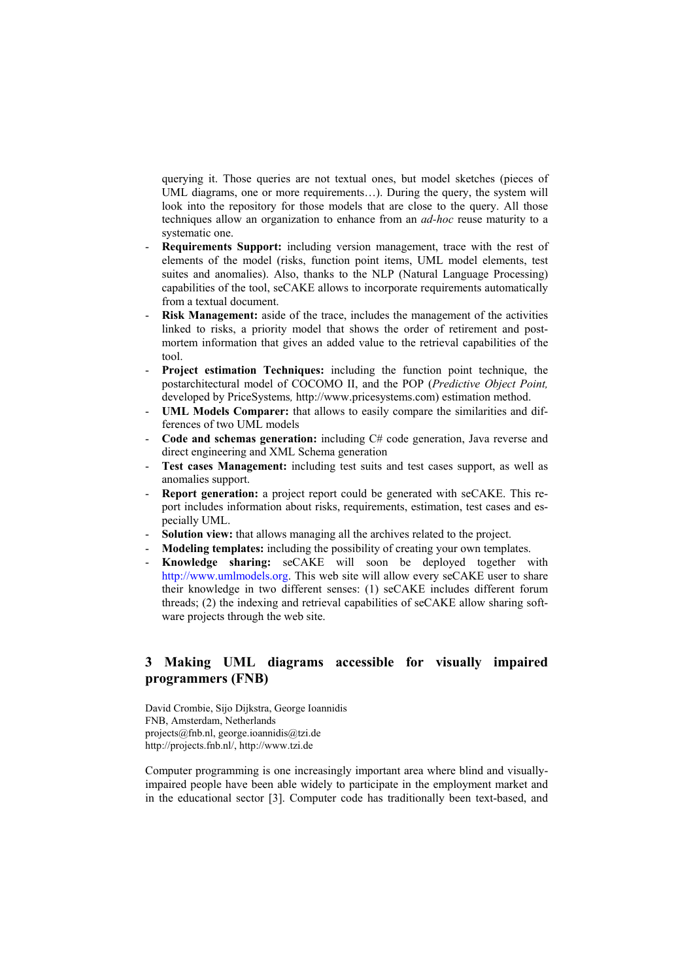querying it. Those queries are not textual ones, but model sketches (pieces of UML diagrams, one or more requirements…). During the query, the system will look into the repository for those models that are close to the query. All those techniques allow an organization to enhance from an *ad-hoc* reuse maturity to a systematic one.

- Requirements Support: including version management, trace with the rest of elements of the model (risks, function point items, UML model elements, test suites and anomalies). Also, thanks to the NLP (Natural Language Processing) capabilities of the tool, seCAKE allows to incorporate requirements automatically from a textual document.
- **Risk Management:** aside of the trace, includes the management of the activities linked to risks, a priority model that shows the order of retirement and postmortem information that gives an added value to the retrieval capabilities of the tool.
- **Project estimation Techniques:** including the function point technique, the postarchitectural model of COCOMO II, and the POP (*Predictive Object Point,*  developed by PriceSystems*,* http://www.pricesystems.com) estimation method.
- UML Models Comparer: that allows to easily compare the similarities and differences of two UML models
- **Code and schemas generation:** including C# code generation, Java reverse and direct engineering and XML Schema generation
- **Test cases Management:** including test suits and test cases support, as well as anomalies support.
- **Report generation:** a project report could be generated with seCAKE. This report includes information about risks, requirements, estimation, test cases and especially UML.
- Solution view: that allows managing all the archives related to the project.
- **Modeling templates:** including the possibility of creating your own templates.
- **Knowledge sharing:** seCAKE will soon be deployed together with http://www.umlmodels.org. This web site will allow every seCAKE user to share their knowledge in two different senses: (1) seCAKE includes different forum threads; (2) the indexing and retrieval capabilities of seCAKE allow sharing software projects through the web site.

# **3 Making UML diagrams accessible for visually impaired programmers (FNB)**

David Crombie, Sijo Dijkstra, George Ioannidis FNB, Amsterdam, Netherlands projects@fnb.nl, george.ioannidis@tzi.de http://projects.fnb.nl/, http://www.tzi.de

Computer programming is one increasingly important area where blind and visuallyimpaired people have been able widely to participate in the employment market and in the educational sector [3]. Computer code has traditionally been text-based, and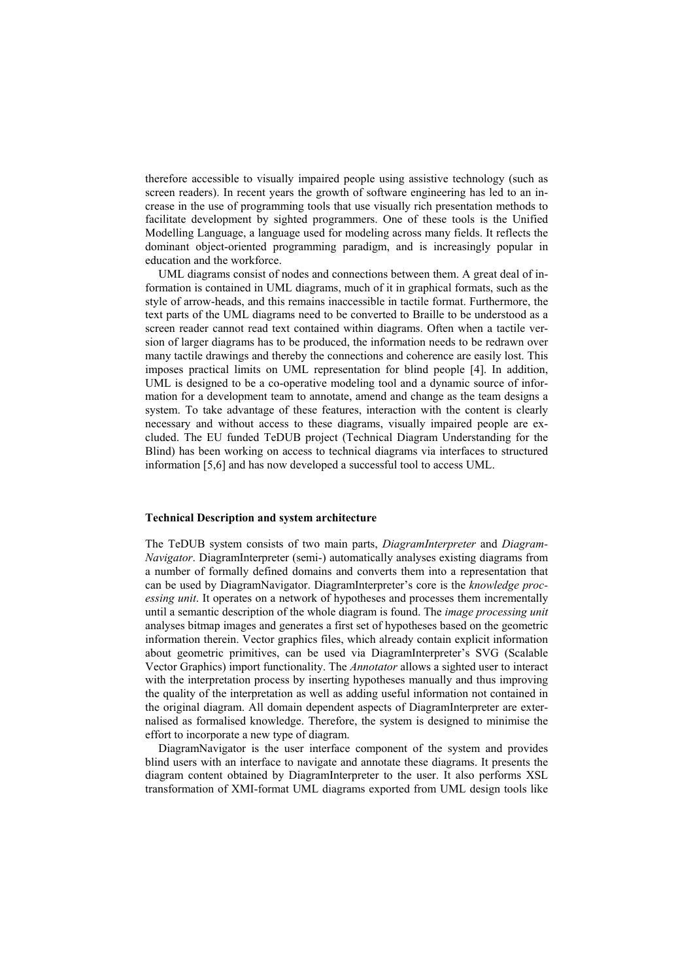therefore accessible to visually impaired people using assistive technology (such as screen readers). In recent years the growth of software engineering has led to an increase in the use of programming tools that use visually rich presentation methods to facilitate development by sighted programmers. One of these tools is the Unified Modelling Language, a language used for modeling across many fields. It reflects the dominant object-oriented programming paradigm, and is increasingly popular in education and the workforce.

UML diagrams consist of nodes and connections between them. A great deal of information is contained in UML diagrams, much of it in graphical formats, such as the style of arrow-heads, and this remains inaccessible in tactile format. Furthermore, the text parts of the UML diagrams need to be converted to Braille to be understood as a screen reader cannot read text contained within diagrams. Often when a tactile version of larger diagrams has to be produced, the information needs to be redrawn over many tactile drawings and thereby the connections and coherence are easily lost. This imposes practical limits on UML representation for blind people [4]. In addition, UML is designed to be a co-operative modeling tool and a dynamic source of information for a development team to annotate, amend and change as the team designs a system. To take advantage of these features, interaction with the content is clearly necessary and without access to these diagrams, visually impaired people are excluded. The EU funded TeDUB project (Technical Diagram Understanding for the Blind) has been working on access to technical diagrams via interfaces to structured information [5,6] and has now developed a successful tool to access UML.

#### **Technical Description and system architecture**

The TeDUB system consists of two main parts, *DiagramInterpreter* and *Diagram-Navigator*. DiagramInterpreter (semi-) automatically analyses existing diagrams from a number of formally defined domains and converts them into a representation that can be used by DiagramNavigator. DiagramInterpreter's core is the *knowledge processing unit*. It operates on a network of hypotheses and processes them incrementally until a semantic description of the whole diagram is found. The *image processing unit* analyses bitmap images and generates a first set of hypotheses based on the geometric information therein. Vector graphics files, which already contain explicit information about geometric primitives, can be used via DiagramInterpreter's SVG (Scalable Vector Graphics) import functionality. The *Annotator* allows a sighted user to interact with the interpretation process by inserting hypotheses manually and thus improving the quality of the interpretation as well as adding useful information not contained in the original diagram. All domain dependent aspects of DiagramInterpreter are externalised as formalised knowledge. Therefore, the system is designed to minimise the effort to incorporate a new type of diagram.

DiagramNavigator is the user interface component of the system and provides blind users with an interface to navigate and annotate these diagrams. It presents the diagram content obtained by DiagramInterpreter to the user. It also performs XSL transformation of XMI-format UML diagrams exported from UML design tools like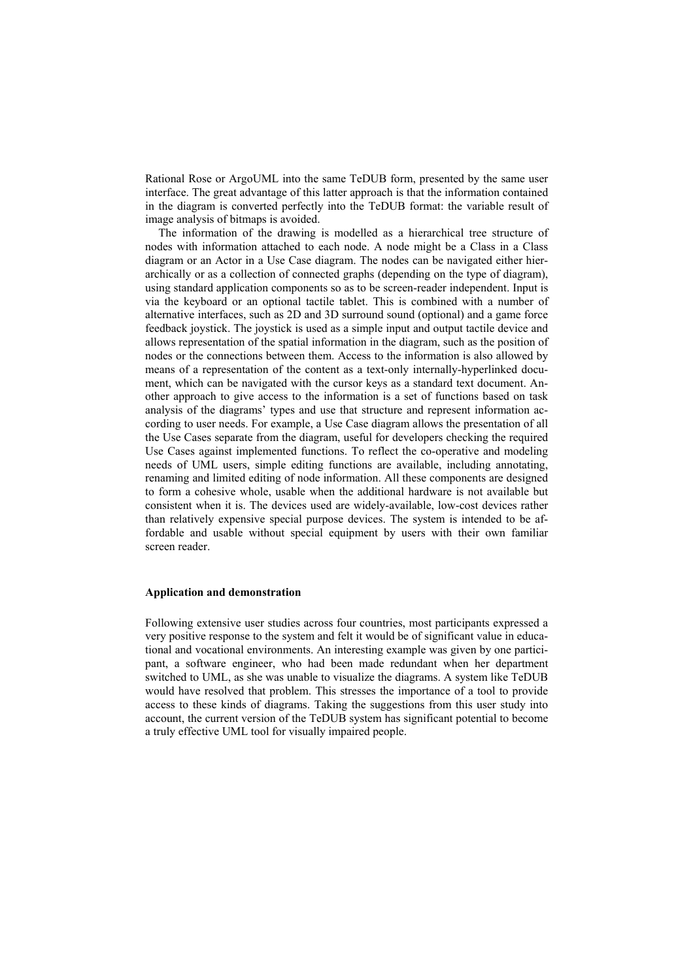Rational Rose or ArgoUML into the same TeDUB form, presented by the same user interface. The great advantage of this latter approach is that the information contained in the diagram is converted perfectly into the TeDUB format: the variable result of image analysis of bitmaps is avoided.

The information of the drawing is modelled as a hierarchical tree structure of nodes with information attached to each node. A node might be a Class in a Class diagram or an Actor in a Use Case diagram. The nodes can be navigated either hierarchically or as a collection of connected graphs (depending on the type of diagram), using standard application components so as to be screen-reader independent. Input is via the keyboard or an optional tactile tablet. This is combined with a number of alternative interfaces, such as 2D and 3D surround sound (optional) and a game force feedback joystick. The joystick is used as a simple input and output tactile device and allows representation of the spatial information in the diagram, such as the position of nodes or the connections between them. Access to the information is also allowed by means of a representation of the content as a text-only internally-hyperlinked document, which can be navigated with the cursor keys as a standard text document. Another approach to give access to the information is a set of functions based on task analysis of the diagrams' types and use that structure and represent information according to user needs. For example, a Use Case diagram allows the presentation of all the Use Cases separate from the diagram, useful for developers checking the required Use Cases against implemented functions. To reflect the co-operative and modeling needs of UML users, simple editing functions are available, including annotating, renaming and limited editing of node information. All these components are designed to form a cohesive whole, usable when the additional hardware is not available but consistent when it is. The devices used are widely-available, low-cost devices rather than relatively expensive special purpose devices. The system is intended to be affordable and usable without special equipment by users with their own familiar screen reader.

#### **Application and demonstration**

Following extensive user studies across four countries, most participants expressed a very positive response to the system and felt it would be of significant value in educational and vocational environments. An interesting example was given by one participant, a software engineer, who had been made redundant when her department switched to UML, as she was unable to visualize the diagrams. A system like TeDUB would have resolved that problem. This stresses the importance of a tool to provide access to these kinds of diagrams. Taking the suggestions from this user study into account, the current version of the TeDUB system has significant potential to become a truly effective UML tool for visually impaired people.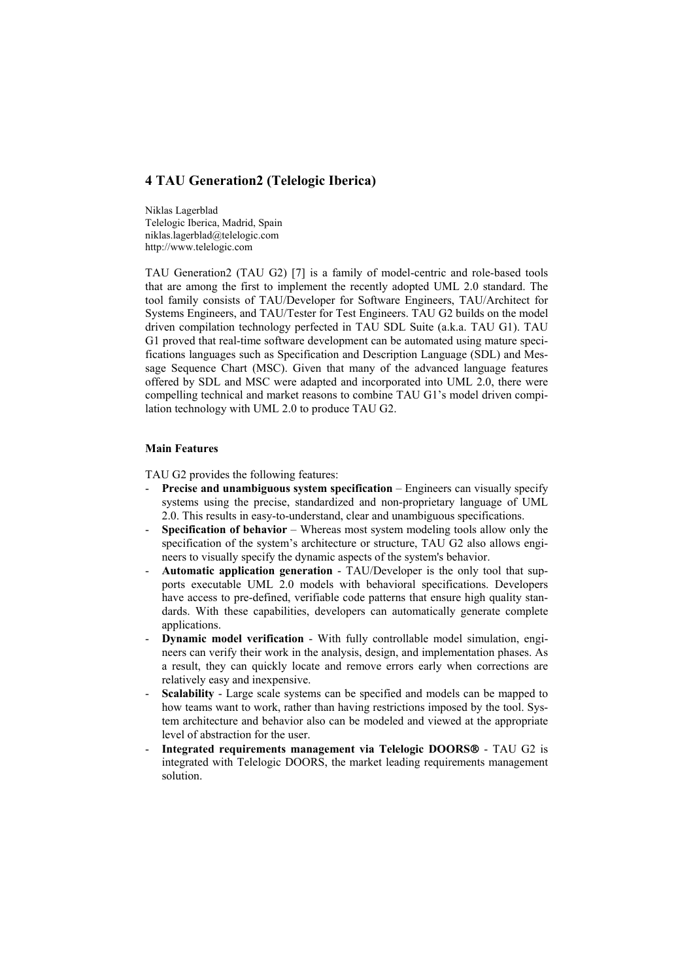# **4 TAU Generation2 (Telelogic Iberica)**

Niklas Lagerblad Telelogic Iberica, Madrid, Spain niklas.lagerblad@telelogic.com http://www.telelogic.com

TAU Generation2 (TAU G2) [7] is a family of model-centric and role-based tools that are among the first to implement the recently adopted UML 2.0 standard. The tool family consists of TAU/Developer for Software Engineers, TAU/Architect for Systems Engineers, and TAU/Tester for Test Engineers. TAU G2 builds on the model driven compilation technology perfected in TAU SDL Suite (a.k.a. TAU G1). TAU G1 proved that real-time software development can be automated using mature specifications languages such as Specification and Description Language (SDL) and Message Sequence Chart (MSC). Given that many of the advanced language features offered by SDL and MSC were adapted and incorporated into UML 2.0, there were compelling technical and market reasons to combine TAU G1's model driven compilation technology with UML 2.0 to produce TAU G2.

#### **Main Features**

TAU G2 provides the following features:

- **Precise and unambiguous system specification** Engineers can visually specify systems using the precise, standardized and non-proprietary language of UML 2.0. This results in easy-to-understand, clear and unambiguous specifications.
- **Specification of behavior** Whereas most system modeling tools allow only the specification of the system's architecture or structure, TAU G2 also allows engineers to visually specify the dynamic aspects of the system's behavior.
- **Automatic application generation** TAU/Developer is the only tool that supports executable UML 2.0 models with behavioral specifications. Developers have access to pre-defined, verifiable code patterns that ensure high quality standards. With these capabilities, developers can automatically generate complete applications.
- **Dynamic model verification** With fully controllable model simulation, engineers can verify their work in the analysis, design, and implementation phases. As a result, they can quickly locate and remove errors early when corrections are relatively easy and inexpensive.
- Scalability Large scale systems can be specified and models can be mapped to how teams want to work, rather than having restrictions imposed by the tool. System architecture and behavior also can be modeled and viewed at the appropriate level of abstraction for the user.
- **Integrated requirements management via Telelogic DOORS®** TAU G2 is integrated with Telelogic DOORS, the market leading requirements management solution.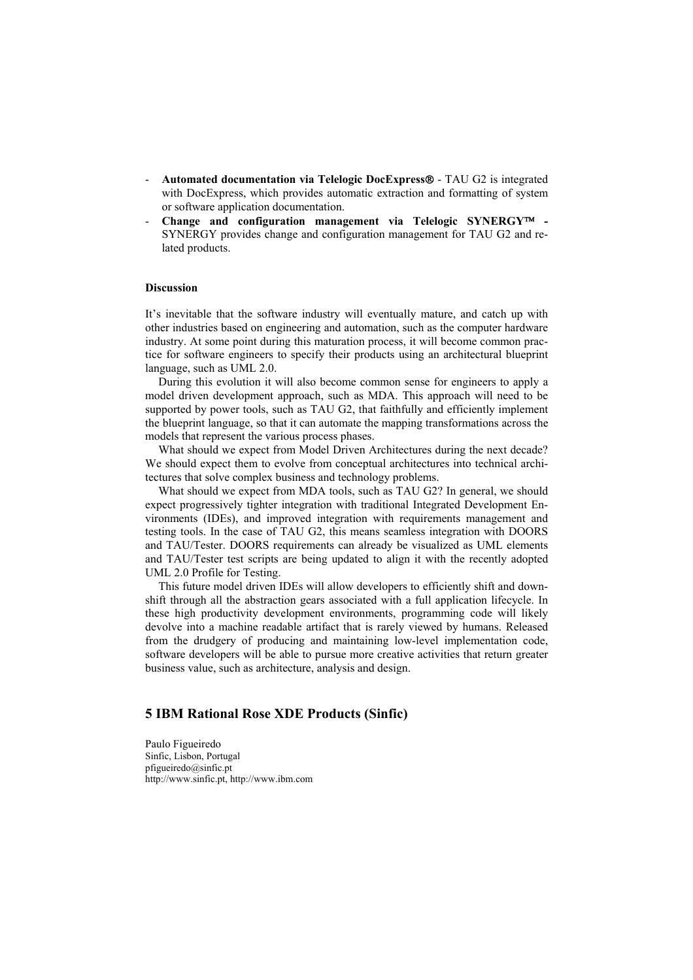- **Automated documentation via Telelogic DocExpress** TAU G2 is integrated with DocExpress, which provides automatic extraction and formatting of system or software application documentation.
- **Change and configuration management via Telelogic SYNERGY -** SYNERGY provides change and configuration management for TAU G2 and related products.

### **Discussion**

It's inevitable that the software industry will eventually mature, and catch up with other industries based on engineering and automation, such as the computer hardware industry. At some point during this maturation process, it will become common practice for software engineers to specify their products using an architectural blueprint language, such as UML 2.0.

During this evolution it will also become common sense for engineers to apply a model driven development approach, such as MDA. This approach will need to be supported by power tools, such as TAU G2, that faithfully and efficiently implement the blueprint language, so that it can automate the mapping transformations across the models that represent the various process phases.

What should we expect from Model Driven Architectures during the next decade? We should expect them to evolve from conceptual architectures into technical architectures that solve complex business and technology problems.

What should we expect from MDA tools, such as TAU G2? In general, we should expect progressively tighter integration with traditional Integrated Development Environments (IDEs), and improved integration with requirements management and testing tools. In the case of TAU G2, this means seamless integration with DOORS and TAU/Tester. DOORS requirements can already be visualized as UML elements and TAU/Tester test scripts are being updated to align it with the recently adopted UML 2.0 Profile for Testing.

This future model driven IDEs will allow developers to efficiently shift and downshift through all the abstraction gears associated with a full application lifecycle. In these high productivity development environments, programming code will likely devolve into a machine readable artifact that is rarely viewed by humans. Released from the drudgery of producing and maintaining low-level implementation code, software developers will be able to pursue more creative activities that return greater business value, such as architecture, analysis and design.

## **5 IBM Rational Rose XDE Products (Sinfic)**

Paulo Figueiredo Sinfic, Lisbon, Portugal pfigueiredo@sinfic.pt http://www.sinfic.pt, http://www.ibm.com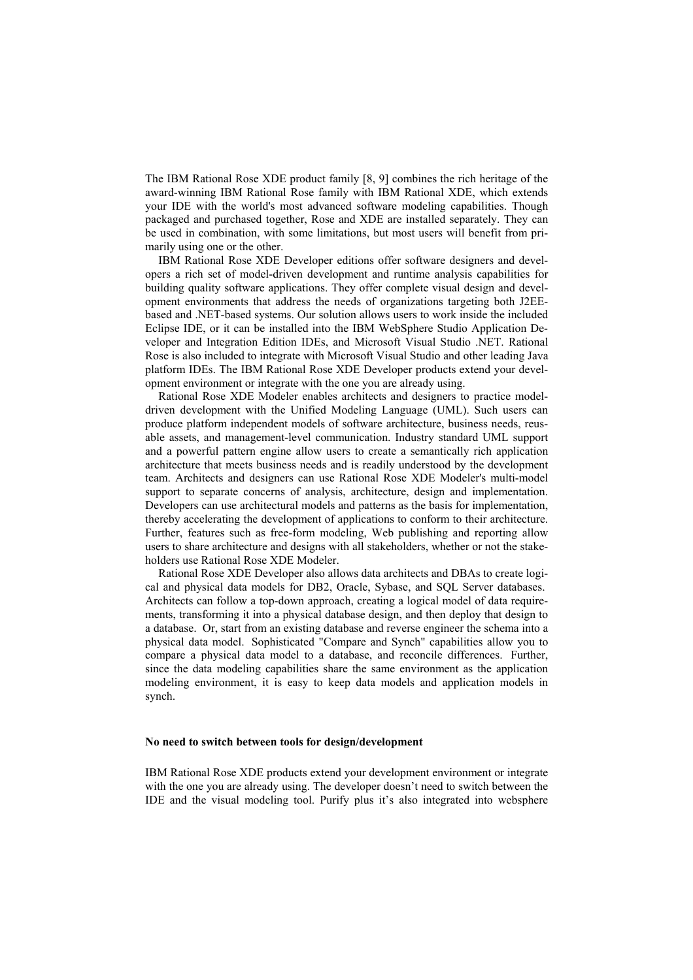The IBM Rational Rose XDE product family [8, 9] combines the rich heritage of the award-winning IBM Rational Rose family with IBM Rational XDE, which extends your IDE with the world's most advanced software modeling capabilities. Though packaged and purchased together, Rose and XDE are installed separately. They can be used in combination, with some limitations, but most users will benefit from primarily using one or the other.

IBM Rational Rose XDE Developer editions offer software designers and developers a rich set of model-driven development and runtime analysis capabilities for building quality software applications. They offer complete visual design and development environments that address the needs of organizations targeting both J2EEbased and .NET-based systems. Our solution allows users to work inside the included Eclipse IDE, or it can be installed into the IBM WebSphere Studio Application Developer and Integration Edition IDEs, and Microsoft Visual Studio .NET. Rational Rose is also included to integrate with Microsoft Visual Studio and other leading Java platform IDEs. The IBM Rational Rose XDE Developer products extend your development environment or integrate with the one you are already using.

Rational Rose XDE Modeler enables architects and designers to practice modeldriven development with the Unified Modeling Language (UML). Such users can produce platform independent models of software architecture, business needs, reusable assets, and management-level communication. Industry standard UML support and a powerful pattern engine allow users to create a semantically rich application architecture that meets business needs and is readily understood by the development team. Architects and designers can use Rational Rose XDE Modeler's multi-model support to separate concerns of analysis, architecture, design and implementation. Developers can use architectural models and patterns as the basis for implementation, thereby accelerating the development of applications to conform to their architecture. Further, features such as free-form modeling, Web publishing and reporting allow users to share architecture and designs with all stakeholders, whether or not the stakeholders use Rational Rose XDE Modeler.

Rational Rose XDE Developer also allows data architects and DBAs to create logical and physical data models for DB2, Oracle, Sybase, and SQL Server databases. Architects can follow a top-down approach, creating a logical model of data requirements, transforming it into a physical database design, and then deploy that design to a database. Or, start from an existing database and reverse engineer the schema into a physical data model. Sophisticated "Compare and Synch" capabilities allow you to compare a physical data model to a database, and reconcile differences. Further, since the data modeling capabilities share the same environment as the application modeling environment, it is easy to keep data models and application models in synch.

#### **No need to switch between tools for design/development**

IBM Rational Rose XDE products extend your development environment or integrate with the one you are already using. The developer doesn't need to switch between the IDE and the visual modeling tool. Purify plus it's also integrated into websphere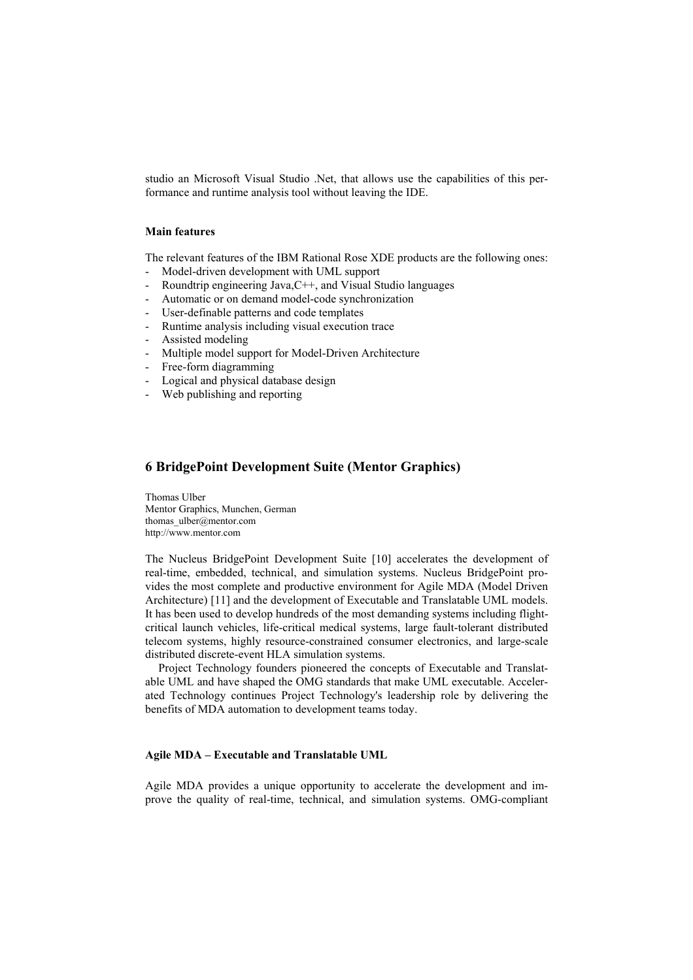studio an Microsoft Visual Studio .Net, that allows use the capabilities of this performance and runtime analysis tool without leaving the IDE.

#### **Main features**

The relevant features of the IBM Rational Rose XDE products are the following ones:

- Model-driven development with UML support
- Roundtrip engineering Java, C++, and Visual Studio languages
- Automatic or on demand model-code synchronization
- User-definable patterns and code templates
- Runtime analysis including visual execution trace
- Assisted modeling
- Multiple model support for Model-Driven Architecture
- Free-form diagramming
- Logical and physical database design
- Web publishing and reporting

# **6 BridgePoint Development Suite (Mentor Graphics)**

Thomas Ulber Mentor Graphics, Munchen, German thomas\_ulber@mentor.com http://www.mentor.com

The Nucleus BridgePoint Development Suite [10] accelerates the development of real-time, embedded, technical, and simulation systems. Nucleus BridgePoint provides the most complete and productive environment for Agile MDA (Model Driven Architecture) [11] and the development of Executable and Translatable UML models. It has been used to develop hundreds of the most demanding systems including flightcritical launch vehicles, life-critical medical systems, large fault-tolerant distributed telecom systems, highly resource-constrained consumer electronics, and large-scale distributed discrete-event HLA simulation systems.

Project Technology founders pioneered the concepts of Executable and Translatable UML and have shaped the OMG standards that make UML executable. Accelerated Technology continues Project Technology's leadership role by delivering the benefits of MDA automation to development teams today.

#### **Agile MDA – Executable and Translatable UML**

Agile MDA provides a unique opportunity to accelerate the development and improve the quality of real-time, technical, and simulation systems. OMG-compliant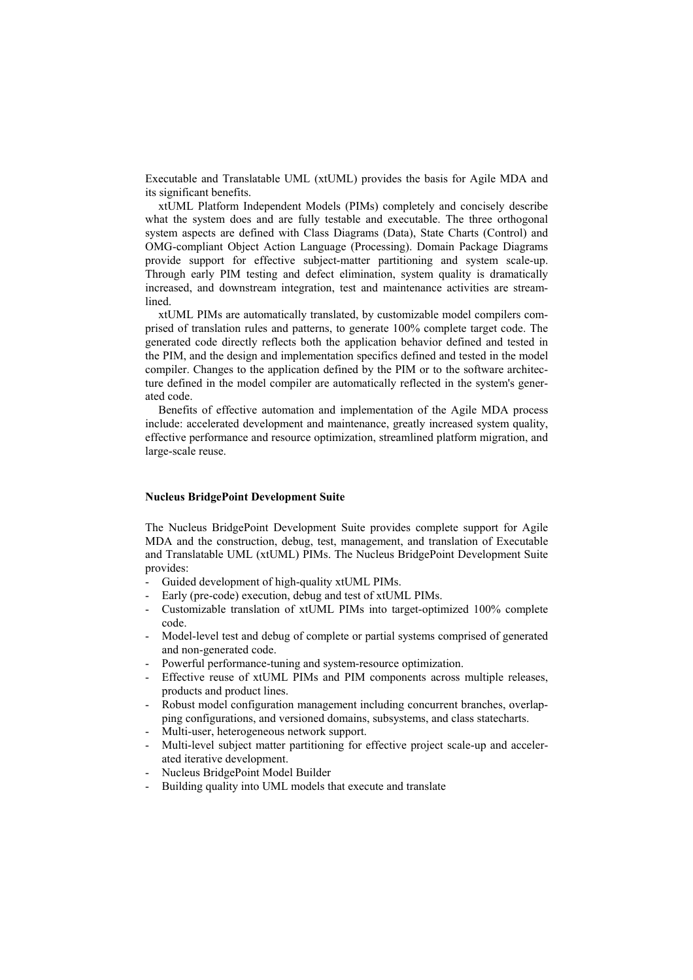Executable and Translatable UML (xtUML) provides the basis for Agile MDA and its significant benefits.

xtUML Platform Independent Models (PIMs) completely and concisely describe what the system does and are fully testable and executable. The three orthogonal system aspects are defined with Class Diagrams (Data), State Charts (Control) and OMG-compliant Object Action Language (Processing). Domain Package Diagrams provide support for effective subject-matter partitioning and system scale-up. Through early PIM testing and defect elimination, system quality is dramatically increased, and downstream integration, test and maintenance activities are streamlined.

xtUML PIMs are automatically translated, by customizable model compilers comprised of translation rules and patterns, to generate 100% complete target code. The generated code directly reflects both the application behavior defined and tested in the PIM, and the design and implementation specifics defined and tested in the model compiler. Changes to the application defined by the PIM or to the software architecture defined in the model compiler are automatically reflected in the system's generated code.

Benefits of effective automation and implementation of the Agile MDA process include: accelerated development and maintenance, greatly increased system quality, effective performance and resource optimization, streamlined platform migration, and large-scale reuse.

## **Nucleus BridgePoint Development Suite**

The Nucleus BridgePoint Development Suite provides complete support for Agile MDA and the construction, debug, test, management, and translation of Executable and Translatable UML (xtUML) PIMs. The Nucleus BridgePoint Development Suite provides:

- Guided development of high-quality xtUML PIMs.
- Early (pre-code) execution, debug and test of xtUML PIMs.
- Customizable translation of xtUML PIMs into target-optimized 100% complete code.
- Model-level test and debug of complete or partial systems comprised of generated and non-generated code.
- Powerful performance-tuning and system-resource optimization.
- Effective reuse of xtUML PIMs and PIM components across multiple releases, products and product lines.
- Robust model configuration management including concurrent branches, overlapping configurations, and versioned domains, subsystems, and class statecharts.
- Multi-user, heterogeneous network support.
- Multi-level subject matter partitioning for effective project scale-up and accelerated iterative development.
- Nucleus BridgePoint Model Builder
- Building quality into UML models that execute and translate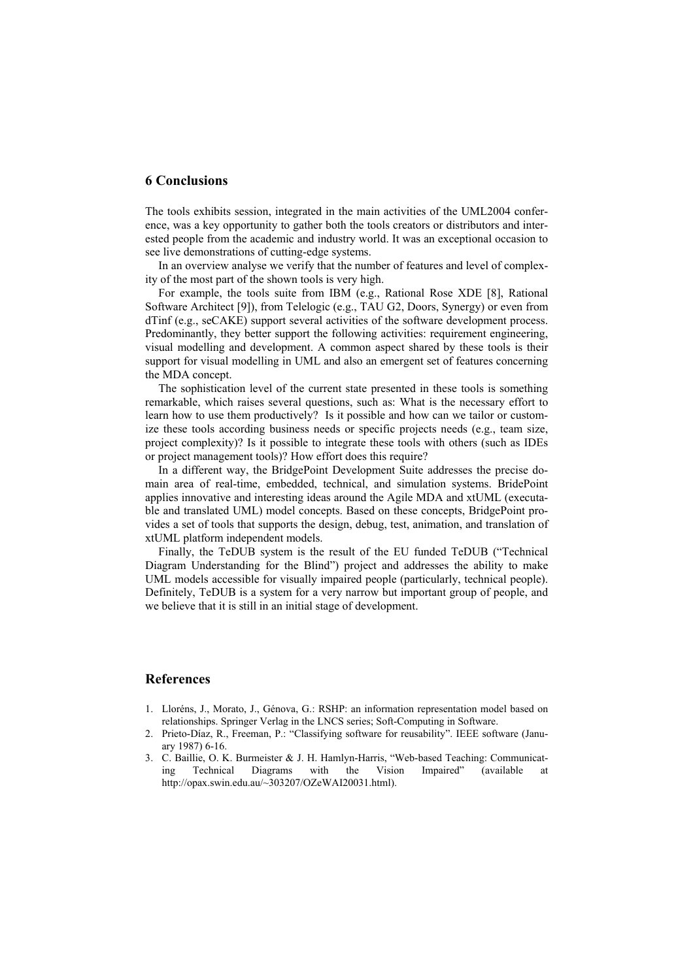# **6 Conclusions**

The tools exhibits session, integrated in the main activities of the UML2004 conference, was a key opportunity to gather both the tools creators or distributors and interested people from the academic and industry world. It was an exceptional occasion to see live demonstrations of cutting-edge systems.

In an overview analyse we verify that the number of features and level of complexity of the most part of the shown tools is very high.

For example, the tools suite from IBM (e.g., Rational Rose XDE [8], Rational Software Architect [9]), from Telelogic (e.g., TAU G2, Doors, Synergy) or even from dTinf (e.g., seCAKE) support several activities of the software development process. Predominantly, they better support the following activities: requirement engineering, visual modelling and development. A common aspect shared by these tools is their support for visual modelling in UML and also an emergent set of features concerning the MDA concept.

The sophistication level of the current state presented in these tools is something remarkable, which raises several questions, such as: What is the necessary effort to learn how to use them productively? Is it possible and how can we tailor or customize these tools according business needs or specific projects needs (e.g., team size, project complexity)? Is it possible to integrate these tools with others (such as IDEs or project management tools)? How effort does this require?

In a different way, the BridgePoint Development Suite addresses the precise domain area of real-time, embedded, technical, and simulation systems. BridePoint applies innovative and interesting ideas around the Agile MDA and xtUML (executable and translated UML) model concepts. Based on these concepts, BridgePoint provides a set of tools that supports the design, debug, test, animation, and translation of xtUML platform independent models.

Finally, the TeDUB system is the result of the EU funded TeDUB ("Technical Diagram Understanding for the Blind") project and addresses the ability to make UML models accessible for visually impaired people (particularly, technical people). Definitely, TeDUB is a system for a very narrow but important group of people, and we believe that it is still in an initial stage of development.

## **References**

- 1. Lloréns, J., Morato, J., Génova, G.: RSHP: an information representation model based on relationships. Springer Verlag in the LNCS series; Soft-Computing in Software.
- 2. Prieto-Díaz, R., Freeman, P.: "Classifying software for reusability". IEEE software (January 1987) 6-16.
- 3. C. Baillie, O. K. Burmeister & J. H. Hamlyn-Harris, "Web-based Teaching: Communicating Technical Diagrams with the Vision Impaired" (available http://opax.swin.edu.au/~303207/OZeWAI20031.html).